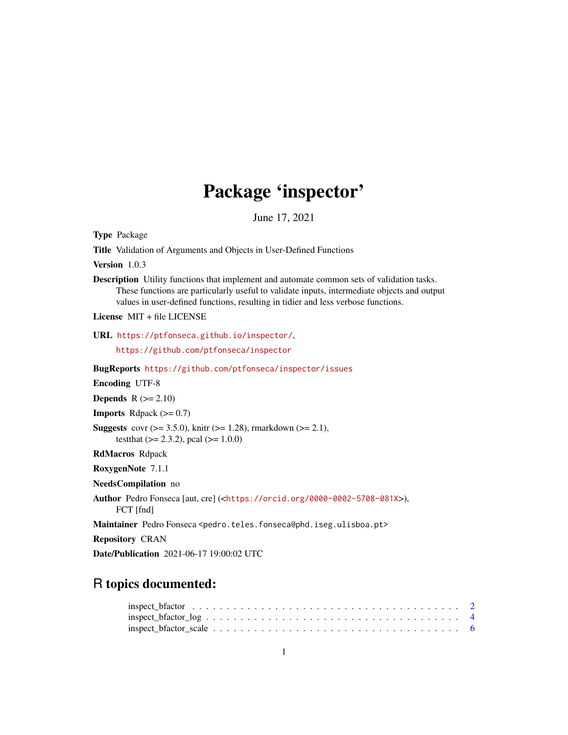# Package 'inspector'

June 17, 2021

<span id="page-0-0"></span>Type Package

Title Validation of Arguments and Objects in User-Defined Functions

Version 1.0.3

Description Utility functions that implement and automate common sets of validation tasks. These functions are particularly useful to validate inputs, intermediate objects and output values in user-defined functions, resulting in tidier and less verbose functions.

License MIT + file LICENSE

URL <https://ptfonseca.github.io/inspector/>, <https://github.com/ptfonseca/inspector>

BugReports <https://github.com/ptfonseca/inspector/issues>

Encoding UTF-8

**Depends**  $R$  ( $>= 2.10$ )

**Imports** Rdpack  $(>= 0.7)$ 

**Suggests** covr ( $>= 3.5.0$ ), knitr ( $>= 1.28$ ), rmarkdown ( $>= 2.1$ ), testthat  $(>= 2.3.2)$ , pcal  $(>= 1.0.0)$ 

RdMacros Rdpack

RoxygenNote 7.1.1

NeedsCompilation no

Author Pedro Fonseca [aut, cre] (<<https://orcid.org/0000-0002-5708-081X>>), FCT [fnd]

Maintainer Pedro Fonseca <pedro.teles.fonseca@phd.iseg.ulisboa.pt>

Repository CRAN

Date/Publication 2021-06-17 19:00:02 UTC

# R topics documented: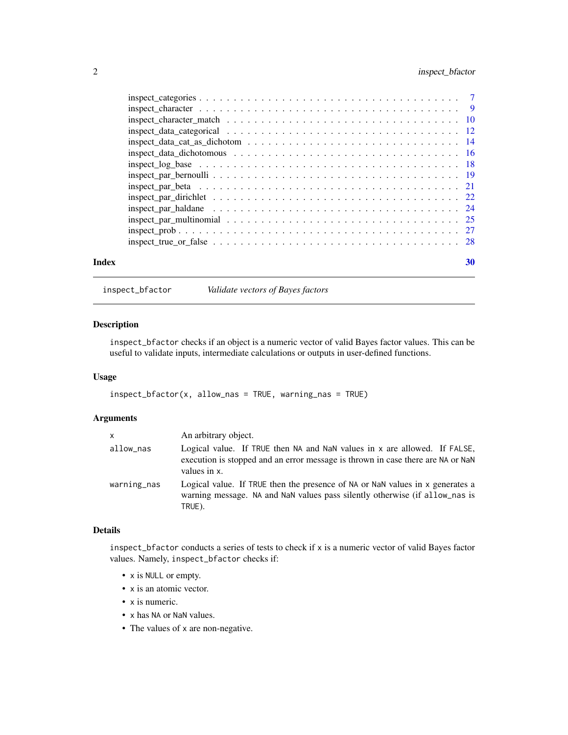# <span id="page-1-0"></span>2 inspect\_bfactor

| Index | 30 |
|-------|----|
|       |    |
|       |    |
|       |    |
|       |    |
|       |    |
|       |    |
|       |    |
|       |    |
|       |    |
|       |    |
|       |    |
|       |    |
|       |    |
|       |    |

<span id="page-1-1"></span>inspect\_bfactor *Validate vectors of Bayes factors*

# Description

inspect\_bfactor checks if an object is a numeric vector of valid Bayes factor values. This can be useful to validate inputs, intermediate calculations or outputs in user-defined functions.

# Usage

```
inspect_bfactor(x, allow_nas = TRUE, warning_nas = TRUE)
```
# Arguments

| $\mathsf{x}$ | An arbitrary object.                                                                                                                                                         |
|--------------|------------------------------------------------------------------------------------------------------------------------------------------------------------------------------|
| allow_nas    | Logical value. If TRUE then NA and NaN values in x are allowed. If FALSE,<br>execution is stopped and an error message is thrown in case there are NA or NaN<br>values in x. |
| warning_nas  | Logical value. If TRUE then the presence of NA or NaN values in x generates a<br>warning message. NA and NaN values pass silently otherwise (if allow_nas is<br>TRUE).       |

#### Details

inspect\_bfactor conducts a series of tests to check if x is a numeric vector of valid Bayes factor values. Namely, inspect\_bfactor checks if:

- x is NULL or empty.
- x is an atomic vector.
- x is numeric.
- x has NA or NaN values.
- The values of x are non-negative.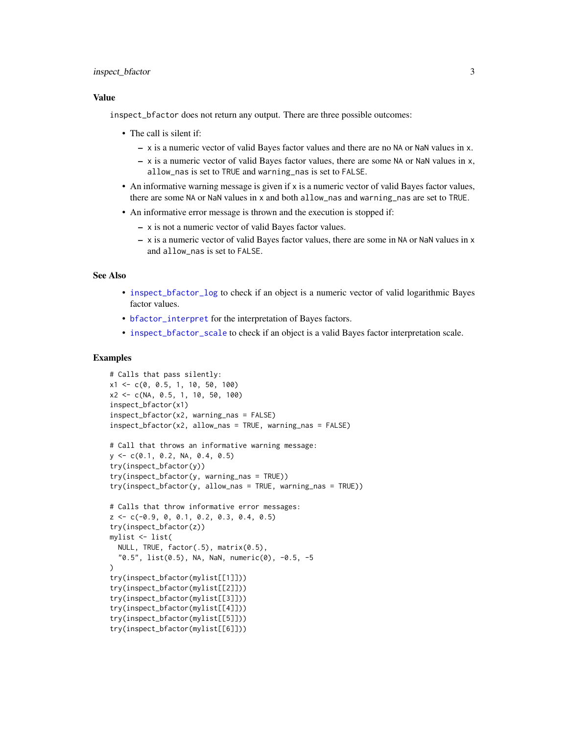# <span id="page-2-0"></span>inspect\_bfactor 3

# Value

inspect\_bfactor does not return any output. There are three possible outcomes:

- The call is silent if:
	- x is a numeric vector of valid Bayes factor values and there are no NA or NaN values in x.
	- $x$  is a numeric vector of valid Bayes factor values, there are some NA or NaN values in x, allow\_nas is set to TRUE and warning\_nas is set to FALSE.
- An informative warning message is given if x is a numeric vector of valid Bayes factor values, there are some NA or NaN values in x and both allow\_nas and warning\_nas are set to TRUE.
- An informative error message is thrown and the execution is stopped if:
	- x is not a numeric vector of valid Bayes factor values.
	- $x$  is a numeric vector of valid Bayes factor values, there are some in NA or NaN values in x and allow\_nas is set to FALSE.

# See Also

- [inspect\\_bfactor\\_log](#page-3-1) to check if an object is a numeric vector of valid logarithmic Bayes factor values.
- [bfactor\\_interpret](#page-0-0) for the interpretation of Bayes factors.
- [inspect\\_bfactor\\_scale](#page-5-1) to check if an object is a valid Bayes factor interpretation scale.

```
# Calls that pass silently:
x1 \leq -c(0, 0.5, 1, 10, 50, 100)x2 <- c(NA, 0.5, 1, 10, 50, 100)
inspect_bfactor(x1)
inspect_bfactor(x2, warning_nas = FALSE)
inspect_bfactor(x2, allow_nas = TRUE, warning_nas = FALSE)
# Call that throws an informative warning message:
y <- c(0.1, 0.2, NA, 0.4, 0.5)
try(inspect_bfactor(y))
try(inspect_bfactor(y, warning_nas = TRUE))
try(inspect_bfactor(y, allow_nas = TRUE, warning_nas = TRUE))
# Calls that throw informative error messages:
z <- c(-0.9, 0, 0.1, 0.2, 0.3, 0.4, 0.5)
try(inspect_bfactor(z))
mylist <- list(
 NULL, TRUE, factor(.5), matrix(0.5),
  "0.5", list(0.5), NA, NaN, numeric(0), -0.5, -5
)
try(inspect_bfactor(mylist[[1]]))
try(inspect_bfactor(mylist[[2]]))
try(inspect_bfactor(mylist[[3]]))
try(inspect_bfactor(mylist[[4]]))
try(inspect_bfactor(mylist[[5]]))
try(inspect_bfactor(mylist[[6]]))
```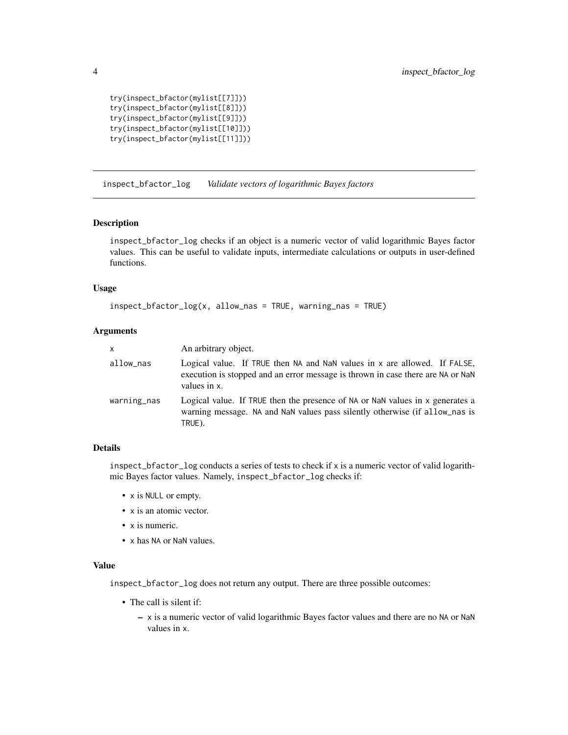```
try(inspect_bfactor(mylist[[7]]))
try(inspect_bfactor(mylist[[8]]))
try(inspect_bfactor(mylist[[9]]))
try(inspect_bfactor(mylist[[10]]))
try(inspect_bfactor(mylist[[11]]))
```
<span id="page-3-1"></span>inspect\_bfactor\_log *Validate vectors of logarithmic Bayes factors*

#### Description

inspect\_bfactor\_log checks if an object is a numeric vector of valid logarithmic Bayes factor values. This can be useful to validate inputs, intermediate calculations or outputs in user-defined functions.

#### Usage

inspect\_bfactor\_log(x, allow\_nas = TRUE, warning\_nas = TRUE)

# Arguments

| <b>X</b>    | An arbitrary object.                                                                                                                                                         |
|-------------|------------------------------------------------------------------------------------------------------------------------------------------------------------------------------|
| allow_nas   | Logical value. If TRUE then NA and NaN values in x are allowed. If FALSE,<br>execution is stopped and an error message is thrown in case there are NA or NaN<br>values in x. |
| warning_nas | Logical value. If TRUE then the presence of NA or NaN values in x generates a<br>warning message. NA and NaN values pass silently otherwise (if allow_nas is<br>TRUE).       |

#### Details

inspect\_bfactor\_log conducts a series of tests to check if x is a numeric vector of valid logarithmic Bayes factor values. Namely, inspect\_bfactor\_log checks if:

- x is NULL or empty.
- x is an atomic vector.
- x is numeric.
- x has NA or NaN values.

#### Value

inspect\_bfactor\_log does not return any output. There are three possible outcomes:

- The call is silent if:
	- x is a numeric vector of valid logarithmic Bayes factor values and there are no NA or NaN values in x.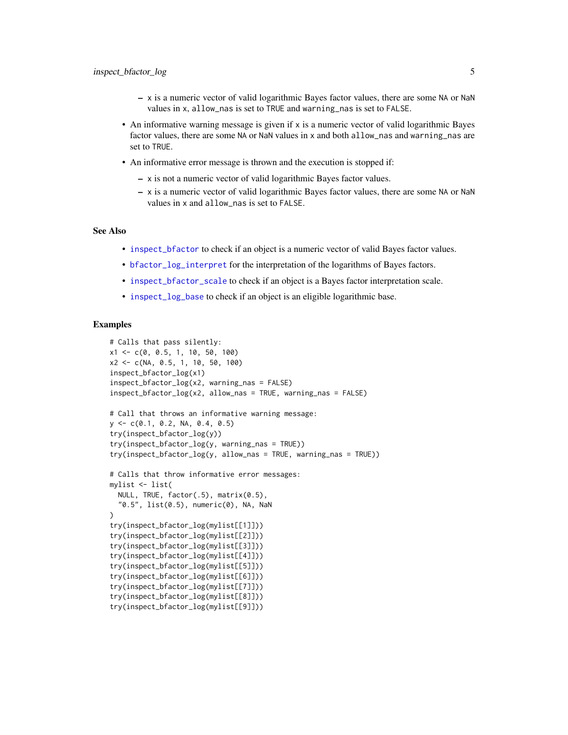- <span id="page-4-0"></span> $- x$  is a numeric vector of valid logarithmic Bayes factor values, there are some NA or NaN values in x, allow\_nas is set to TRUE and warning\_nas is set to FALSE.
- An informative warning message is given if x is a numeric vector of valid logarithmic Bayes factor values, there are some NA or NaN values in x and both allow\_nas and warning\_nas are set to TRUE.
- An informative error message is thrown and the execution is stopped if:
	- x is not a numeric vector of valid logarithmic Bayes factor values.
	- $x$  is a numeric vector of valid logarithmic Bayes factor values, there are some NA or NaN values in x and allow\_nas is set to FALSE.

# See Also

- [inspect\\_bfactor](#page-1-1) to check if an object is a numeric vector of valid Bayes factor values.
- [bfactor\\_log\\_interpret](#page-0-0) for the interpretation of the logarithms of Bayes factors.
- [inspect\\_bfactor\\_scale](#page-5-1) to check if an object is a Bayes factor interpretation scale.
- [inspect\\_log\\_base](#page-17-1) to check if an object is an eligible logarithmic base.

```
# Calls that pass silently:
x1 <- c(0, 0.5, 1, 10, 50, 100)
x2 <- c(NA, 0.5, 1, 10, 50, 100)
inspect_bfactor_log(x1)
inspect_bfactor_log(x2, warning_nas = FALSE)
inspect_bfactor_log(x2, allow_nas = TRUE, warning_nas = FALSE)
# Call that throws an informative warning message:
y <- c(0.1, 0.2, NA, 0.4, 0.5)
try(inspect_bfactor_log(y))
try(inspect_bfactor_log(y, warning_nas = TRUE))
try(inspect_bfactor_log(y, allow_nas = TRUE, warning_nas = TRUE))
# Calls that throw informative error messages:
mylist <- list(
 NULL, TRUE, factor(.5), matrix(0.5),
  "0.5", list(0.5), numeric(0), NA, NaN
)
try(inspect_bfactor_log(mylist[[1]]))
try(inspect_bfactor_log(mylist[[2]]))
try(inspect_bfactor_log(mylist[[3]]))
try(inspect_bfactor_log(mylist[[4]]))
try(inspect_bfactor_log(mylist[[5]]))
try(inspect_bfactor_log(mylist[[6]]))
try(inspect_bfactor_log(mylist[[7]]))
try(inspect_bfactor_log(mylist[[8]]))
try(inspect_bfactor_log(mylist[[9]]))
```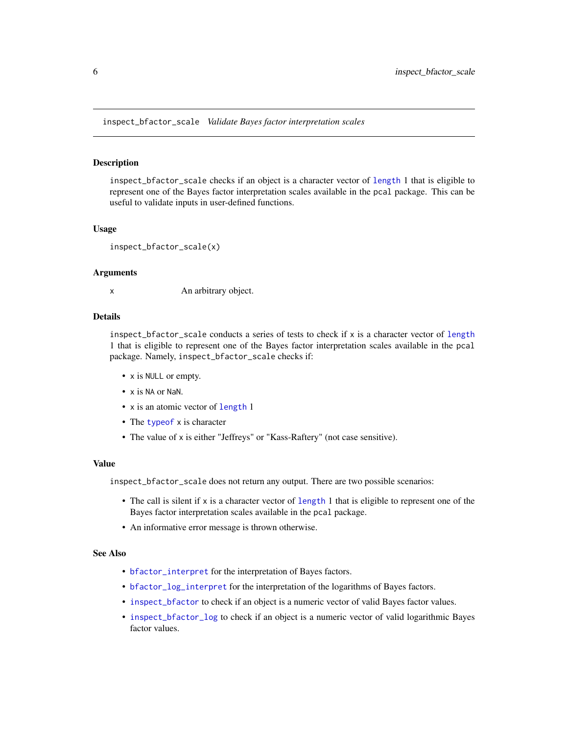<span id="page-5-1"></span><span id="page-5-0"></span>inspect\_bfactor\_scale *Validate Bayes factor interpretation scales*

# **Description**

inspect\_bfactor\_scale checks if an object is a character vector of [length](#page-0-0) 1 that is eligible to represent one of the Bayes factor interpretation scales available in the pcal package. This can be useful to validate inputs in user-defined functions.

# Usage

```
inspect_bfactor_scale(x)
```
#### Arguments

x An arbitrary object.

# Details

inspect\_bfactor\_scale conducts a series of tests to check if x is a character vector of [length](#page-0-0) 1 that is eligible to represent one of the Bayes factor interpretation scales available in the pcal package. Namely, inspect\_bfactor\_scale checks if:

- x is NULL or empty.
- x is NA or NaN.
- x is an atomic vector of [length](#page-0-0) 1
- The [typeof](#page-0-0) x is character
- The value of x is either "Jeffreys" or "Kass-Raftery" (not case sensitive).

#### Value

inspect\_bfactor\_scale does not return any output. There are two possible scenarios:

- The call is silent if x is a character vector of [length](#page-0-0) 1 that is eligible to represent one of the Bayes factor interpretation scales available in the pcal package.
- An informative error message is thrown otherwise.

#### See Also

- [bfactor\\_interpret](#page-0-0) for the interpretation of Bayes factors.
- [bfactor\\_log\\_interpret](#page-0-0) for the interpretation of the logarithms of Bayes factors.
- [inspect\\_bfactor](#page-1-1) to check if an object is a numeric vector of valid Bayes factor values.
- [inspect\\_bfactor\\_log](#page-3-1) to check if an object is a numeric vector of valid logarithmic Bayes factor values.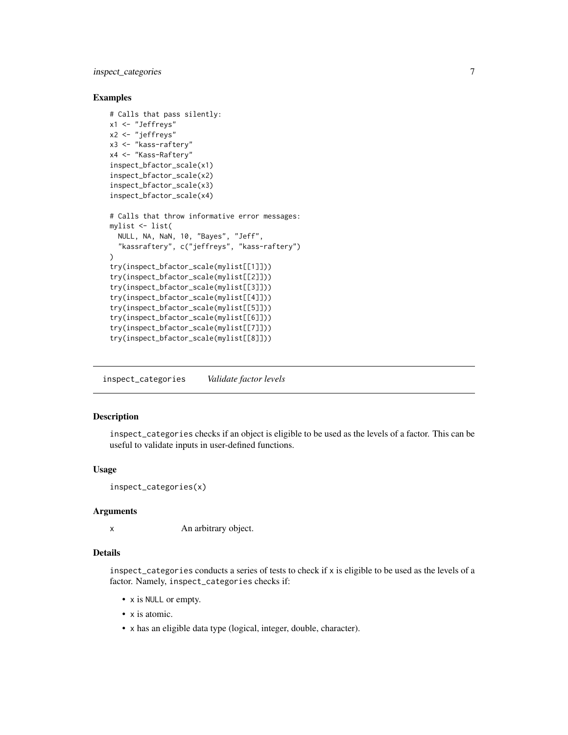<span id="page-6-0"></span>inspect\_categories 7

#### Examples

```
# Calls that pass silently:
x1 <- "Jeffreys"
x2 <- "jeffreys"
x3 <- "kass-raftery"
x4 <- "Kass-Raftery"
inspect_bfactor_scale(x1)
inspect_bfactor_scale(x2)
inspect_bfactor_scale(x3)
inspect_bfactor_scale(x4)
# Calls that throw informative error messages:
mylist <- list(
 NULL, NA, NaN, 10, "Bayes", "Jeff",
  "kassraftery", c("jeffreys", "kass-raftery")
\mathcal{L}try(inspect_bfactor_scale(mylist[[1]]))
try(inspect_bfactor_scale(mylist[[2]]))
try(inspect_bfactor_scale(mylist[[3]]))
try(inspect_bfactor_scale(mylist[[4]]))
try(inspect_bfactor_scale(mylist[[5]]))
try(inspect_bfactor_scale(mylist[[6]]))
try(inspect_bfactor_scale(mylist[[7]]))
try(inspect_bfactor_scale(mylist[[8]]))
```
inspect\_categories *Validate factor levels*

#### Description

inspect\_categories checks if an object is eligible to be used as the levels of a factor. This can be useful to validate inputs in user-defined functions.

# Usage

```
inspect_categories(x)
```
#### Arguments

x An arbitrary object.

#### Details

inspect\_categories conducts a series of tests to check if x is eligible to be used as the levels of a factor. Namely, inspect\_categories checks if:

- x is NULL or empty.
- x is atomic.
- x has an eligible data type (logical, integer, double, character).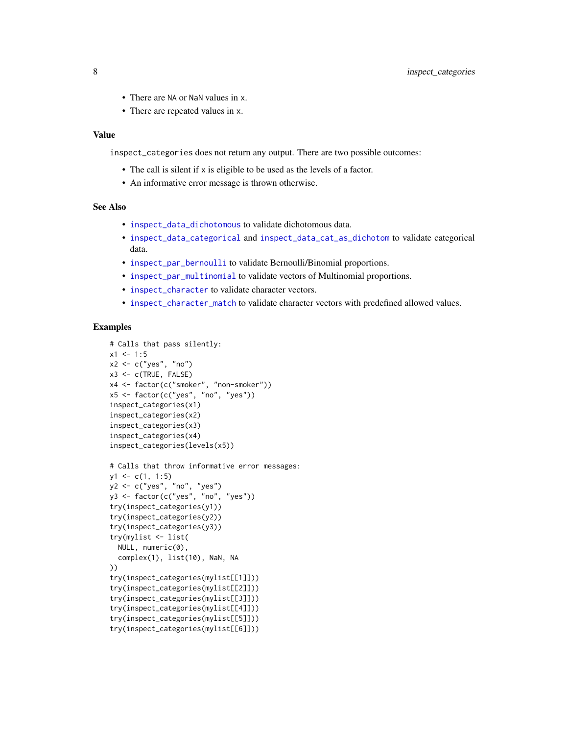- <span id="page-7-0"></span>• There are NA or NaN values in x.
- There are repeated values in x.

inspect\_categories does not return any output. There are two possible outcomes:

- The call is silent if x is eligible to be used as the levels of a factor.
- An informative error message is thrown otherwise.

#### See Also

- [inspect\\_data\\_dichotomous](#page-15-1) to validate dichotomous data.
- [inspect\\_data\\_categorical](#page-11-1) and [inspect\\_data\\_cat\\_as\\_dichotom](#page-13-1) to validate categorical data.
- [inspect\\_par\\_bernoulli](#page-18-1) to validate Bernoulli/Binomial proportions.
- [inspect\\_par\\_multinomial](#page-24-1) to validate vectors of Multinomial proportions.
- [inspect\\_character](#page-8-1) to validate character vectors.
- [inspect\\_character\\_match](#page-9-1) to validate character vectors with predefined allowed values.

```
# Calls that pass silently:
x1 < -1:5x2 <- c("yes", "no")
x3 \leq -c (TRUE, FALSE)
x4 <- factor(c("smoker", "non-smoker"))
x5 \leq - factor(c("yes", "no", "yes"))
inspect_categories(x1)
inspect_categories(x2)
inspect_categories(x3)
inspect_categories(x4)
inspect_categories(levels(x5))
# Calls that throw informative error messages:
y1 \leftarrow c(1, 1:5)y2 <- c("yes", "no", "yes")
y3 <- factor(c("yes", "no", "yes"))
try(inspect_categories(y1))
try(inspect_categories(y2))
try(inspect_categories(y3))
try(mylist <- list(
  NULL, numeric(0),
  complex(1), list(10), NaN, NA
))
try(inspect_categories(mylist[[1]]))
try(inspect_categories(mylist[[2]]))
try(inspect_categories(mylist[[3]]))
try(inspect_categories(mylist[[4]]))
try(inspect_categories(mylist[[5]]))
try(inspect_categories(mylist[[6]]))
```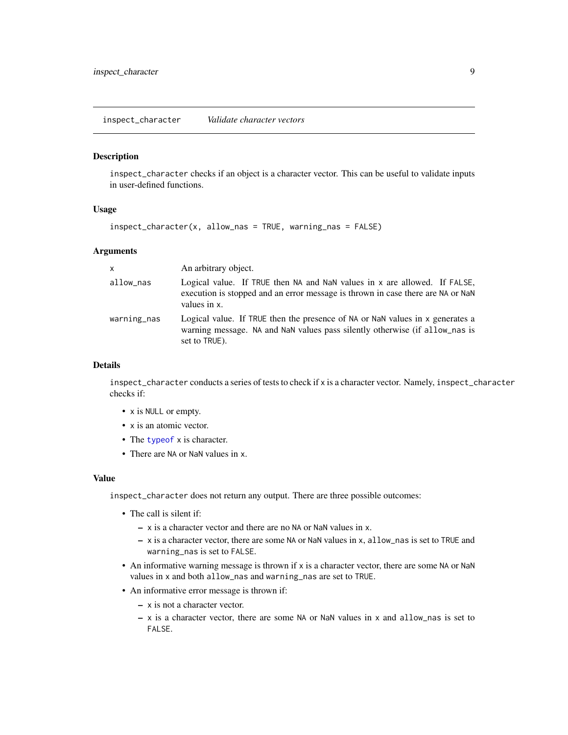#### <span id="page-8-1"></span><span id="page-8-0"></span>Description

inspect\_character checks if an object is a character vector. This can be useful to validate inputs in user-defined functions.

# Usage

```
inspect_character(x, allow_nas = TRUE, warning_nas = FALSE)
```
# Arguments

| $\mathsf{x}$ | An arbitrary object.                                                                                                                                                          |
|--------------|-------------------------------------------------------------------------------------------------------------------------------------------------------------------------------|
| allow_nas    | Logical value. If TRUE then NA and NaN values in x are allowed. If FALSE,<br>execution is stopped and an error message is thrown in case there are NA or NaN<br>values in x.  |
| warning_nas  | Logical value. If TRUE then the presence of NA or NaN values in x generates a<br>warning message. NA and NaN values pass silently otherwise (if allow_nas is<br>set to TRUE). |

#### Details

inspect\_character conducts a series of tests to check if x is a character vector. Namely, inspect\_character checks if:

- x is NULL or empty.
- x is an atomic vector.
- The [typeof](#page-0-0) x is character.
- There are NA or NaN values in x.

# Value

inspect\_character does not return any output. There are three possible outcomes:

- The call is silent if:
	- x is a character vector and there are no NA or NaN values in x.
	- x is a character vector, there are some NA or NaN values in x, allow\_nas is set to TRUE and warning\_nas is set to FALSE.
- An informative warning message is thrown if x is a character vector, there are some NA or NaN values in x and both allow\_nas and warning\_nas are set to TRUE.
- An informative error message is thrown if:
	- x is not a character vector.
	- $x$  is a character vector, there are some NA or NaN values in x and allow\_nas is set to FALSE.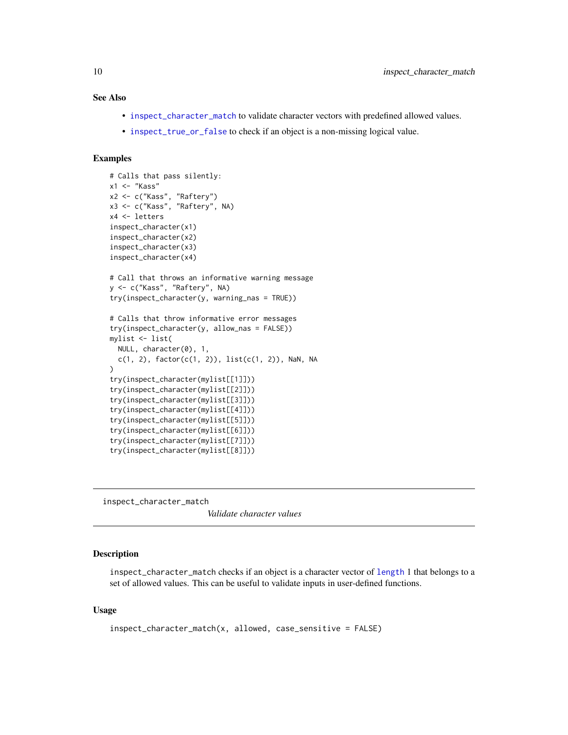# <span id="page-9-0"></span>See Also

- [inspect\\_character\\_match](#page-9-1) to validate character vectors with predefined allowed values.
- [inspect\\_true\\_or\\_false](#page-27-1) to check if an object is a non-missing logical value.

# Examples

```
# Calls that pass silently:
x1 <- "Kass"
x2 <- c("Kass", "Raftery")
x3 <- c("Kass", "Raftery", NA)
x4 <- letters
inspect_character(x1)
inspect_character(x2)
inspect_character(x3)
inspect_character(x4)
# Call that throws an informative warning message
y <- c("Kass", "Raftery", NA)
try(inspect_character(y, warning_nas = TRUE))
# Calls that throw informative error messages
try(inspect_character(y, allow_nas = FALSE))
mylist <- list(
 NULL, character(0), 1,
 c(1, 2), factor(c(1, 2)), list(c(1, 2)), NaN, NA
)
try(inspect_character(mylist[[1]]))
try(inspect_character(mylist[[2]]))
try(inspect_character(mylist[[3]]))
try(inspect_character(mylist[[4]]))
try(inspect_character(mylist[[5]]))
try(inspect_character(mylist[[6]]))
try(inspect_character(mylist[[7]]))
try(inspect_character(mylist[[8]]))
```
<span id="page-9-1"></span>inspect\_character\_match

*Validate character values*

# Description

inspect\_character\_match checks if an object is a character vector of [length](#page-0-0) 1 that belongs to a set of allowed values. This can be useful to validate inputs in user-defined functions.

# Usage

```
inspect_character_match(x, allowed, case_sensitive = FALSE)
```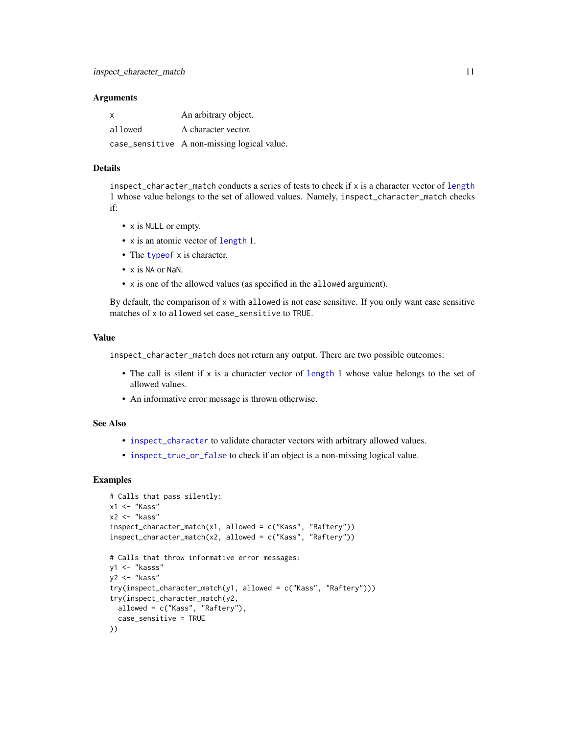#### <span id="page-10-0"></span>Arguments

| x       | An arbitrary object.                        |
|---------|---------------------------------------------|
| allowed | A character vector.                         |
|         | case_sensitive A non-missing logical value. |

# Details

inspect\_character\_match conducts a series of tests to check if x is a character vector of [length](#page-0-0) 1 whose value belongs to the set of allowed values. Namely, inspect\_character\_match checks if:

- x is NULL or empty.
- x is an atomic vector of [length](#page-0-0) 1.
- The [typeof](#page-0-0) x is character.
- x is NA or NaN.
- x is one of the allowed values (as specified in the allowed argument).

By default, the comparison of x with allowed is not case sensitive. If you only want case sensitive matches of x to allowed set case\_sensitive to TRUE.

#### Value

inspect\_character\_match does not return any output. There are two possible outcomes:

- The call is silent if x is a character vector of [length](#page-0-0) 1 whose value belongs to the set of allowed values.
- An informative error message is thrown otherwise.

#### See Also

- [inspect\\_character](#page-8-1) to validate character vectors with arbitrary allowed values.
- [inspect\\_true\\_or\\_false](#page-27-1) to check if an object is a non-missing logical value.

```
# Calls that pass silently:
x1 <- "Kass"
x2 <- "kass"
inspect_character_match(x1, allowed = c("Kass", "Raftery"))
inspect_character_match(x2, allowed = c("Kass", "Raftery"))
# Calls that throw informative error messages:
y1 <- "kasss"
y2 <- "kass"
try(inspect_character_match(y1, allowed = c("Kass", "Raftery")))
try(inspect_character_match(y2,
  allowed = c("Kass", "Raftery"),
  case_sensitive = TRUE
))
```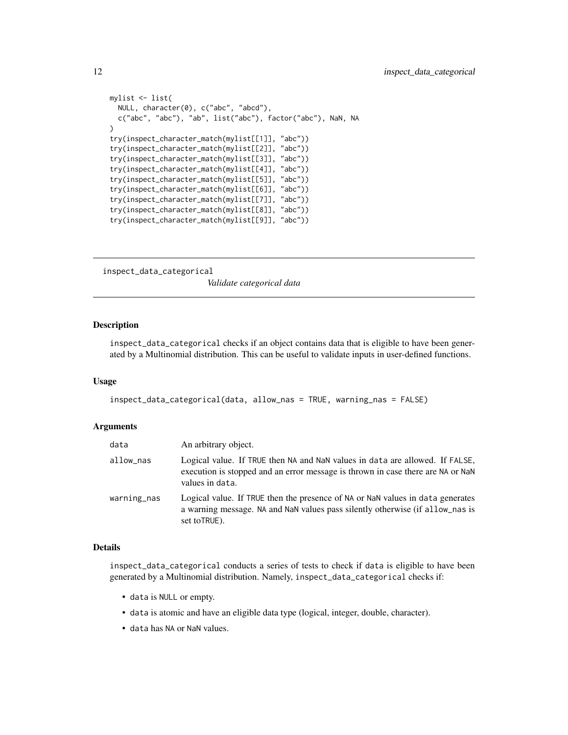```
mylist <- list(
 NULL, character(0), c("abc", "abcd"),
 c("abc", "abc"), "ab", list("abc"), factor("abc"), NaN, NA
)
try(inspect_character_match(mylist[[1]], "abc"))
try(inspect_character_match(mylist[[2]], "abc"))
try(inspect_character_match(mylist[[3]], "abc"))
try(inspect_character_match(mylist[[4]], "abc"))
try(inspect_character_match(mylist[[5]], "abc"))
try(inspect_character_match(mylist[[6]], "abc"))
try(inspect_character_match(mylist[[7]], "abc"))
try(inspect_character_match(mylist[[8]], "abc"))
try(inspect_character_match(mylist[[9]], "abc"))
```
<span id="page-11-1"></span>inspect\_data\_categorical

*Validate categorical data*

#### Description

inspect\_data\_categorical checks if an object contains data that is eligible to have been generated by a Multinomial distribution. This can be useful to validate inputs in user-defined functions.

#### Usage

```
inspect_data_categorical(data, allow_nas = TRUE, warning_nas = FALSE)
```
#### Arguments

| data        | An arbitrary object.                                                                                                                                                               |
|-------------|------------------------------------------------------------------------------------------------------------------------------------------------------------------------------------|
| allow_nas   | Logical value. If TRUE then NA and NaN values in data are allowed. If FALSE,<br>execution is stopped and an error message is thrown in case there are NA or NaN<br>values in data. |
| warning_nas | Logical value. If TRUE then the presence of NA or NaN values in data generates<br>a warning message. NA and NaN values pass silently otherwise (if allow_nas is<br>set to TRUE).   |

#### Details

inspect\_data\_categorical conducts a series of tests to check if data is eligible to have been generated by a Multinomial distribution. Namely, inspect\_data\_categorical checks if:

- data is NULL or empty.
- data is atomic and have an eligible data type (logical, integer, double, character).
- data has NA or NaN values.

<span id="page-11-0"></span>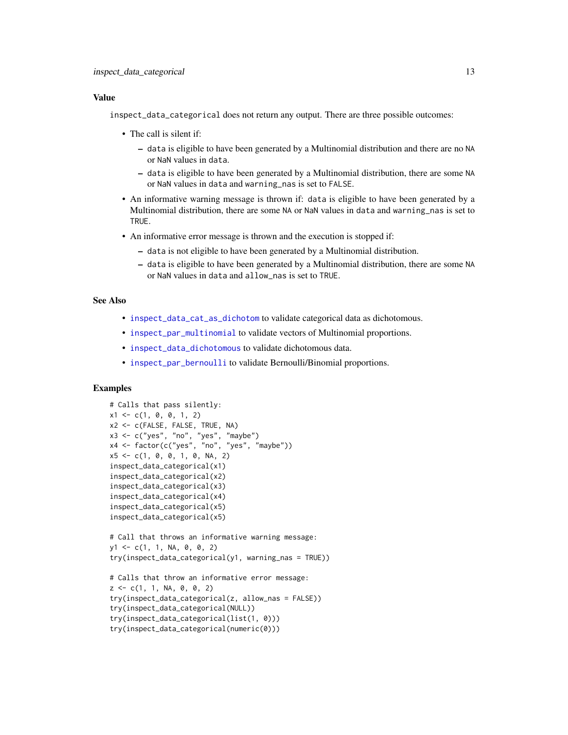<span id="page-12-0"></span>inspect\_data\_categorical does not return any output. There are three possible outcomes:

- The call is silent if:
	- data is eligible to have been generated by a Multinomial distribution and there are no NA or NaN values in data.
	- data is eligible to have been generated by a Multinomial distribution, there are some NA or NaN values in data and warning\_nas is set to FALSE.
- An informative warning message is thrown if: data is eligible to have been generated by a Multinomial distribution, there are some NA or NaN values in data and warning\_nas is set to TRUE.
- An informative error message is thrown and the execution is stopped if:
	- data is not eligible to have been generated by a Multinomial distribution.
	- data is eligible to have been generated by a Multinomial distribution, there are some NA or NaN values in data and allow\_nas is set to TRUE.

# See Also

- [inspect\\_data\\_cat\\_as\\_dichotom](#page-13-1) to validate categorical data as dichotomous.
- [inspect\\_par\\_multinomial](#page-24-1) to validate vectors of Multinomial proportions.
- [inspect\\_data\\_dichotomous](#page-15-1) to validate dichotomous data.
- [inspect\\_par\\_bernoulli](#page-18-1) to validate Bernoulli/Binomial proportions.

```
# Calls that pass silently:
x1 \leftarrow c(1, 0, 0, 1, 2)x2 <- c(FALSE, FALSE, TRUE, NA)
x3 <- c("yes", "no", "yes", "maybe")
x4 <- factor(c("yes", "no", "yes", "maybe"))
x5 \leq -c(1, 0, 0, 1, 0, NA, 2)inspect_data_categorical(x1)
inspect_data_categorical(x2)
inspect_data_categorical(x3)
inspect_data_categorical(x4)
inspect_data_categorical(x5)
inspect_data_categorical(x5)
# Call that throws an informative warning message:
y1 \leftarrow c(1, 1, NA, 0, 0, 2)try(inspect_data_categorical(y1, warning_nas = TRUE))
# Calls that throw an informative error message:
z \leq -c(1, 1, NA, 0, 0, 2)try(inspect_data_categorical(z, allow_nas = FALSE))
try(inspect_data_categorical(NULL))
```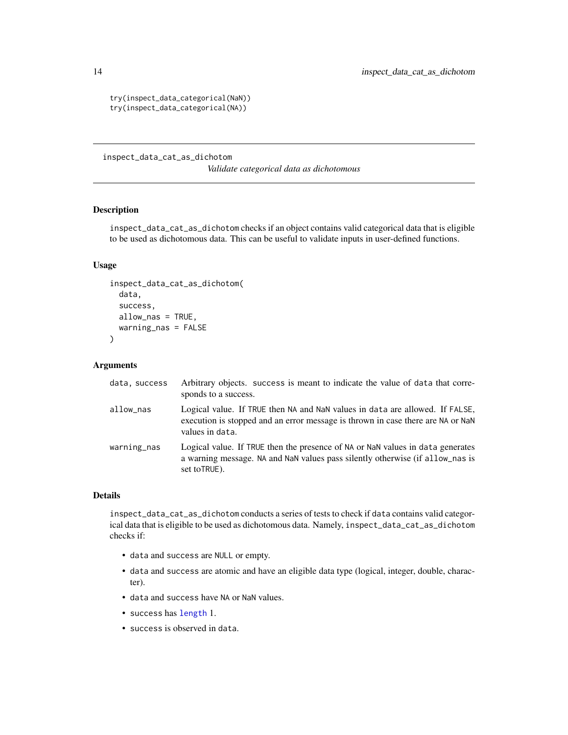```
try(inspect_data_categorical(NaN))
try(inspect_data_categorical(NA))
```
<span id="page-13-1"></span>inspect\_data\_cat\_as\_dichotom

*Validate categorical data as dichotomous*

# Description

inspect\_data\_cat\_as\_dichotom checks if an object contains valid categorical data that is eligible to be used as dichotomous data. This can be useful to validate inputs in user-defined functions.

# Usage

```
inspect_data_cat_as_dichotom(
  data,
  success,
 allow_nas = TRUE,
 warning_nas = FALSE
)
```
#### Arguments

| data, success | Arbitrary objects. success is meant to indicate the value of data that corre-<br>sponds to a success.                                                                              |
|---------------|------------------------------------------------------------------------------------------------------------------------------------------------------------------------------------|
| allow_nas     | Logical value. If TRUE then NA and NaN values in data are allowed. If FALSE,<br>execution is stopped and an error message is thrown in case there are NA or NaN<br>values in data. |
| warning_nas   | Logical value. If TRUE then the presence of NA or NaN values in data generates<br>a warning message. NA and NaN values pass silently otherwise (if allow_nas is<br>set to TRUE).   |

# Details

inspect\_data\_cat\_as\_dichotom conducts a series of tests to check if data contains valid categorical data that is eligible to be used as dichotomous data. Namely, inspect\_data\_cat\_as\_dichotom checks if:

- data and success are NULL or empty.
- data and success are atomic and have an eligible data type (logical, integer, double, character).
- data and success have NA or NaN values.
- success has [length](#page-0-0) 1.
- success is observed in data.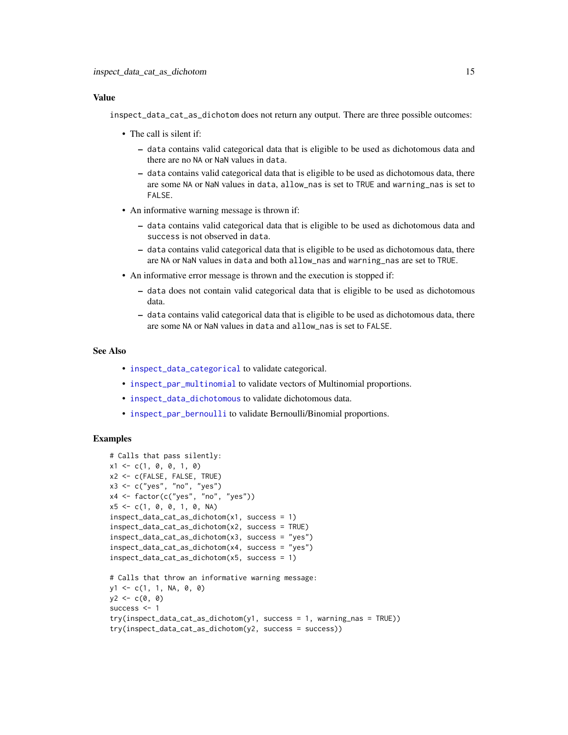<span id="page-14-0"></span>inspect\_data\_cat\_as\_dichotom does not return any output. There are three possible outcomes:

- The call is silent if:
	- data contains valid categorical data that is eligible to be used as dichotomous data and there are no NA or NaN values in data.
	- data contains valid categorical data that is eligible to be used as dichotomous data, there are some NA or NaN values in data, allow\_nas is set to TRUE and warning\_nas is set to FALSE.
- An informative warning message is thrown if:
	- data contains valid categorical data that is eligible to be used as dichotomous data and success is not observed in data.
	- data contains valid categorical data that is eligible to be used as dichotomous data, there are NA or NaN values in data and both allow\_nas and warning\_nas are set to TRUE.
- An informative error message is thrown and the execution is stopped if:
	- data does not contain valid categorical data that is eligible to be used as dichotomous data.
	- data contains valid categorical data that is eligible to be used as dichotomous data, there are some NA or NaN values in data and allow\_nas is set to FALSE.

# See Also

- [inspect\\_data\\_categorical](#page-11-1) to validate categorical.
- [inspect\\_par\\_multinomial](#page-24-1) to validate vectors of Multinomial proportions.
- [inspect\\_data\\_dichotomous](#page-15-1) to validate dichotomous data.
- [inspect\\_par\\_bernoulli](#page-18-1) to validate Bernoulli/Binomial proportions.

```
# Calls that pass silently:
x1 \leftarrow c(1, 0, 0, 1, 0)x2 <- c(FALSE, FALSE, TRUE)
x3 <- c("yes", "no", "yes")
x4 <- factor(c("yes", "no", "yes"))
x5 \leq -c(1, 0, 0, 1, 0, NA)inspect_data_cat_as_dichotom(x1, success = 1)
inspect_data_cat_as_dichotom(x2, success = TRUE)
inspect_data_cat_as_dichotom(x3, success = "yes")
inspect_data_cat_as_dichotom(x4, success = "yes")
inspect_data_cat_as_dichotom(x5, success = 1)
# Calls that throw an informative warning message:
y1 \leftarrow c(1, 1, NA, 0, 0)y2 \leq -c(0, 0)success \leq -1try(inspect_data_cat_as_dichotom(y1, success = 1, warning_nas = TRUE))
try(inspect_data_cat_as_dichotom(y2, success = success))
```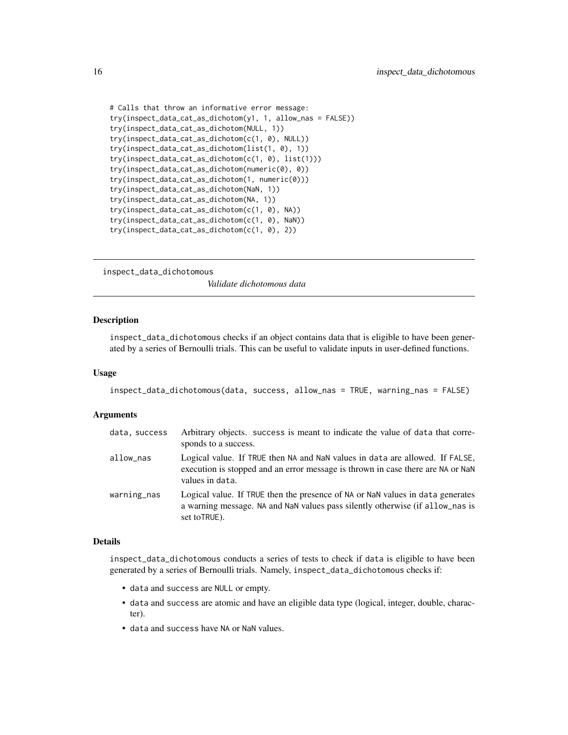```
# Calls that throw an informative error message:
try(inspect_data_cat_as_dichotom(y1, 1, allow_nas = FALSE))
try(inspect_data_cat_as_dichotom(NULL, 1))
try(inspect_data_cat_as_dichotom(c(1, 0), NULL))
try(inspect_data_cat_as_dichotom(list(1, 0), 1))
try(inspect_data_cat_as_dichotom(c(1, 0), list(1)))
try(inspect_data_cat_as_dichotom(numeric(0), 0))
try(inspect_data_cat_as_dichotom(1, numeric(0)))
try(inspect_data_cat_as_dichotom(NaN, 1))
try(inspect_data_cat_as_dichotom(NA, 1))
try(inspect_data_cat_as_dichotom(c(1, 0), NA))
try(inspect_data_cat_as_dichotom(c(1, 0), NaN))
try(inspect_data_cat_as_dichotom(c(1, 0), 2))
```
<span id="page-15-1"></span>inspect\_data\_dichotomous

*Validate dichotomous data*

# Description

inspect\_data\_dichotomous checks if an object contains data that is eligible to have been generated by a series of Bernoulli trials. This can be useful to validate inputs in user-defined functions.

#### Usage

```
inspect_data_dichotomous(data, success, allow_nas = TRUE, warning_nas = FALSE)
```
# **Arguments**

| data, success | Arbitrary objects. success is meant to indicate the value of data that corre-<br>sponds to a success.                                                                              |
|---------------|------------------------------------------------------------------------------------------------------------------------------------------------------------------------------------|
| allow_nas     | Logical value. If TRUE then NA and NaN values in data are allowed. If FALSE,<br>execution is stopped and an error message is thrown in case there are NA or NaN<br>values in data. |
| warning_nas   | Logical value. If TRUE then the presence of NA or NaN values in data generates<br>a warning message. NA and NaN values pass silently otherwise (if allow_nas is<br>set to TRUE).   |

#### Details

inspect\_data\_dichotomous conducts a series of tests to check if data is eligible to have been generated by a series of Bernoulli trials. Namely, inspect\_data\_dichotomous checks if:

- data and success are NULL or empty.
- data and success are atomic and have an eligible data type (logical, integer, double, character).
- data and success have NA or NaN values.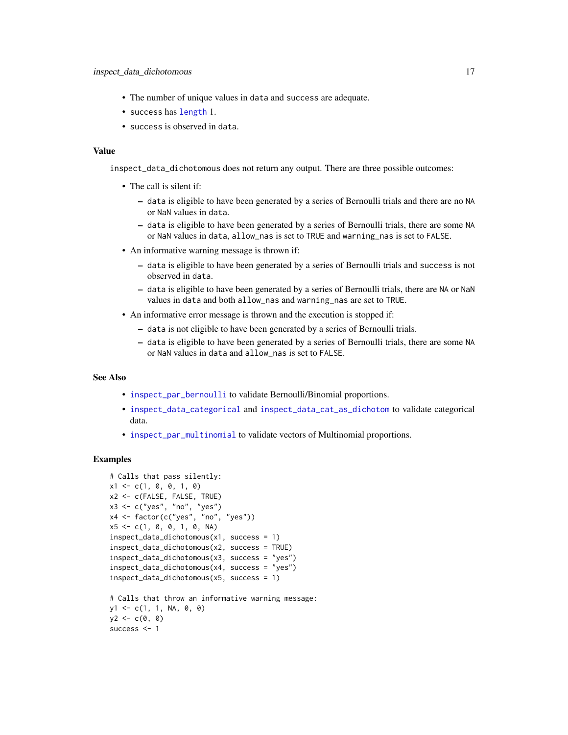- <span id="page-16-0"></span>• The number of unique values in data and success are adequate.
- success has [length](#page-0-0) 1.
- success is observed in data.

inspect\_data\_dichotomous does not return any output. There are three possible outcomes:

- The call is silent if:
	- data is eligible to have been generated by a series of Bernoulli trials and there are no NA or NaN values in data.
	- data is eligible to have been generated by a series of Bernoulli trials, there are some NA or NaN values in data, allow\_nas is set to TRUE and warning\_nas is set to FALSE.
- An informative warning message is thrown if:
	- data is eligible to have been generated by a series of Bernoulli trials and success is not observed in data.
	- data is eligible to have been generated by a series of Bernoulli trials, there are NA or NaN values in data and both allow\_nas and warning\_nas are set to TRUE.
- An informative error message is thrown and the execution is stopped if:
	- data is not eligible to have been generated by a series of Bernoulli trials.
	- data is eligible to have been generated by a series of Bernoulli trials, there are some NA or NaN values in data and allow\_nas is set to FALSE.

# See Also

- [inspect\\_par\\_bernoulli](#page-18-1) to validate Bernoulli/Binomial proportions.
- [inspect\\_data\\_categorical](#page-11-1) and [inspect\\_data\\_cat\\_as\\_dichotom](#page-13-1) to validate categorical data.
- [inspect\\_par\\_multinomial](#page-24-1) to validate vectors of Multinomial proportions.

```
# Calls that pass silently:
x1 \leftarrow c(1, 0, 0, 1, 0)x2 <- c(FALSE, FALSE, TRUE)
x3 <- c("yes", "no", "yes")
x4 <- factor(c("yes", "no", "yes"))
x5 \leq -c(1, 0, 0, 1, 0, NA)inspect_data_dichotomous(x1, success = 1)
inspect_data_dichotomous(x2, success = TRUE)
inspect_data_dichotomous(x3, success = "yes")
inspect_data_dichotomous(x4, success = "yes")
inspect_data_dichotomous(x5, success = 1)
# Calls that throw an informative warning message:
y1 \leftarrow c(1, 1, NA, 0, 0)y2 \leq -c(0, 0)success <- 1
```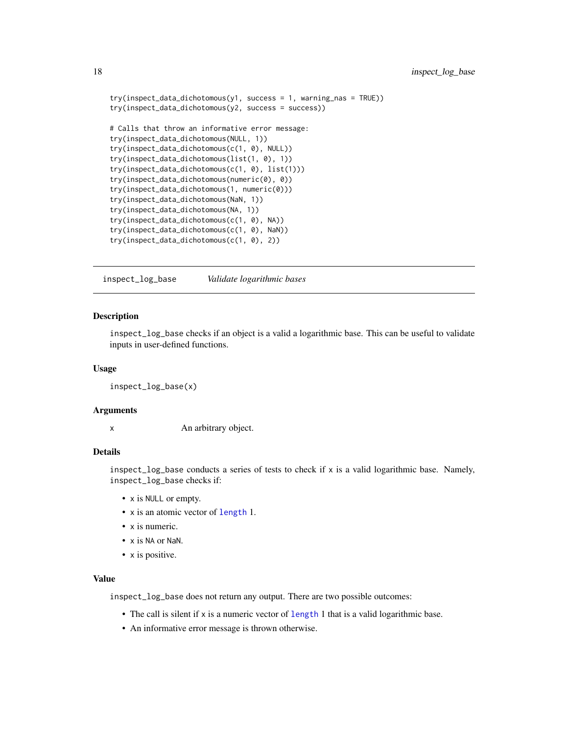```
try(inspect_data_dichotomous(y1, success = 1, warning_nas = TRUE))
try(inspect_data_dichotomous(y2, success = success))
# Calls that throw an informative error message:
try(inspect_data_dichotomous(NULL, 1))
try(inspect_data_dichotomous(c(1, 0), NULL))
try(inspect_data_dichotomous(list(1, 0), 1))
try(inspect_data_dichotomous(c(1, 0), list(1)))
try(inspect_data_dichotomous(numeric(0), 0))
try(inspect_data_dichotomous(1, numeric(0)))
try(inspect_data_dichotomous(NaN, 1))
try(inspect_data_dichotomous(NA, 1))
try(inspect_data_dichotomous(c(1, 0), NA))
try(inspect_data_dichotomous(c(1, 0), NaN))
try(inspect_data_dichotomous(c(1, 0), 2))
```
<span id="page-17-1"></span>inspect\_log\_base *Validate logarithmic bases*

#### Description

inspect\_log\_base checks if an object is a valid a logarithmic base. This can be useful to validate inputs in user-defined functions.

#### Usage

```
inspect_log_base(x)
```
#### Arguments

x An arbitrary object.

# Details

inspect $\lceil \log_{10} x \rceil$  logarithmic base. Namely, inspect\_log\_base checks if:

- x is NULL or empty.
- x is an atomic vector of [length](#page-0-0) 1.
- x is numeric.
- x is NA or NaN.
- x is positive.

#### Value

inspect\_log\_base does not return any output. There are two possible outcomes:

- The call is silent if x is a numeric vector of [length](#page-0-0) 1 that is a valid logarithmic base.
- An informative error message is thrown otherwise.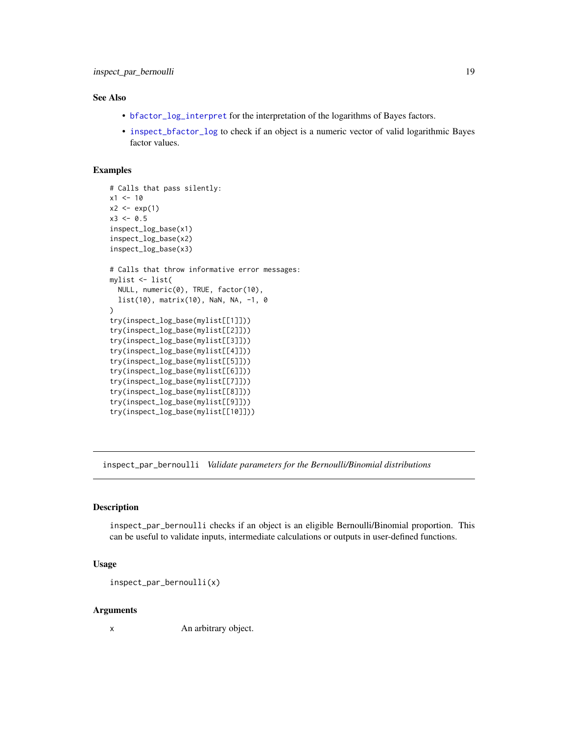# <span id="page-18-0"></span>See Also

- [bfactor\\_log\\_interpret](#page-0-0) for the interpretation of the logarithms of Bayes factors.
- [inspect\\_bfactor\\_log](#page-3-1) to check if an object is a numeric vector of valid logarithmic Bayes factor values.

# Examples

```
# Calls that pass silently:
x1 < -10x2 \le -exp(1)x3 < -0.5inspect_log_base(x1)
inspect_log_base(x2)
inspect_log_base(x3)
# Calls that throw informative error messages:
mylist <- list(
  NULL, numeric(0), TRUE, factor(10),
  list(10), matrix(10), NaN, NA, -1, 0
\mathcal{L}try(inspect_log_base(mylist[[1]]))
try(inspect_log_base(mylist[[2]]))
try(inspect_log_base(mylist[[3]]))
try(inspect_log_base(mylist[[4]]))
try(inspect_log_base(mylist[[5]]))
try(inspect_log_base(mylist[[6]]))
try(inspect_log_base(mylist[[7]]))
try(inspect_log_base(mylist[[8]]))
try(inspect_log_base(mylist[[9]]))
try(inspect_log_base(mylist[[10]]))
```
<span id="page-18-1"></span>inspect\_par\_bernoulli *Validate parameters for the Bernoulli/Binomial distributions*

#### Description

inspect\_par\_bernoulli checks if an object is an eligible Bernoulli/Binomial proportion. This can be useful to validate inputs, intermediate calculations or outputs in user-defined functions.

#### Usage

inspect\_par\_bernoulli(x)

#### Arguments

x An arbitrary object.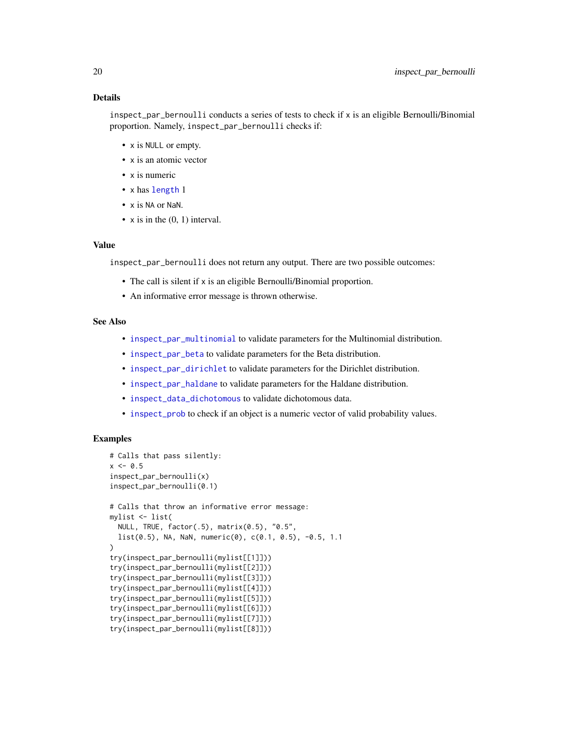# <span id="page-19-0"></span>Details

inspect\_par\_bernoulli conducts a series of tests to check if x is an eligible Bernoulli/Binomial proportion. Namely, inspect\_par\_bernoulli checks if:

- x is NULL or empty.
- x is an atomic vector
- x is numeric
- x has [length](#page-0-0) 1
- x is NA or NaN.
- $\times$  is in the  $(0, 1)$  interval.

# Value

inspect\_par\_bernoulli does not return any output. There are two possible outcomes:

- The call is silent if x is an eligible Bernoulli/Binomial proportion.
- An informative error message is thrown otherwise.

# See Also

- [inspect\\_par\\_multinomial](#page-24-1) to validate parameters for the Multinomial distribution.
- [inspect\\_par\\_beta](#page-20-1) to validate parameters for the Beta distribution.
- [inspect\\_par\\_dirichlet](#page-21-1) to validate parameters for the Dirichlet distribution.
- [inspect\\_par\\_haldane](#page-23-1) to validate parameters for the Haldane distribution.
- [inspect\\_data\\_dichotomous](#page-15-1) to validate dichotomous data.
- [inspect\\_prob](#page-26-1) to check if an object is a numeric vector of valid probability values.

```
# Calls that pass silently:
x \le -0.5inspect_par_bernoulli(x)
inspect_par_bernoulli(0.1)
# Calls that throw an informative error message:
mylist <- list(
 NULL, TRUE, factor(.5), matrix(0.5), "0.5",
 list(0.5), NA, NaN, numeric(0), c(0.1, 0.5), -0.5, 1.1
\mathcal{L}try(inspect_par_bernoulli(mylist[[1]]))
try(inspect_par_bernoulli(mylist[[2]]))
try(inspect_par_bernoulli(mylist[[3]]))
try(inspect_par_bernoulli(mylist[[4]]))
try(inspect_par_bernoulli(mylist[[5]]))
try(inspect_par_bernoulli(mylist[[6]]))
try(inspect_par_bernoulli(mylist[[7]]))
try(inspect_par_bernoulli(mylist[[8]]))
```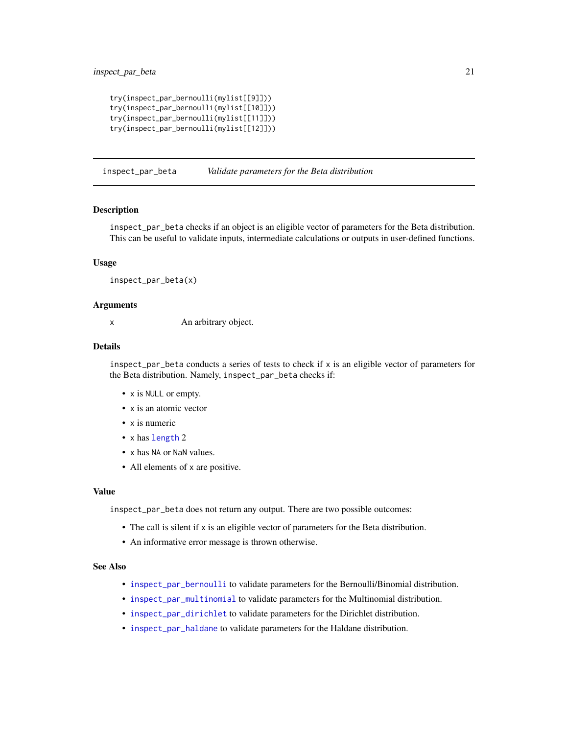```
try(inspect_par_bernoulli(mylist[[9]]))
try(inspect_par_bernoulli(mylist[[10]]))
try(inspect_par_bernoulli(mylist[[11]]))
try(inspect_par_bernoulli(mylist[[12]]))
```
<span id="page-20-1"></span>inspect\_par\_beta *Validate parameters for the Beta distribution*

# **Description**

inspect\_par\_beta checks if an object is an eligible vector of parameters for the Beta distribution. This can be useful to validate inputs, intermediate calculations or outputs in user-defined functions.

#### Usage

inspect\_par\_beta(x)

#### Arguments

x An arbitrary object.

#### Details

inspect\_par\_beta conducts a series of tests to check if x is an eligible vector of parameters for the Beta distribution. Namely, inspect\_par\_beta checks if:

- x is NULL or empty.
- x is an atomic vector
- x is numeric
- x has [length](#page-0-0) 2
- x has NA or NaN values.
- All elements of x are positive.

#### Value

inspect\_par\_beta does not return any output. There are two possible outcomes:

- The call is silent if x is an eligible vector of parameters for the Beta distribution.
- An informative error message is thrown otherwise.

# See Also

- [inspect\\_par\\_bernoulli](#page-18-1) to validate parameters for the Bernoulli/Binomial distribution.
- [inspect\\_par\\_multinomial](#page-24-1) to validate parameters for the Multinomial distribution.
- [inspect\\_par\\_dirichlet](#page-21-1) to validate parameters for the Dirichlet distribution.
- [inspect\\_par\\_haldane](#page-23-1) to validate parameters for the Haldane distribution.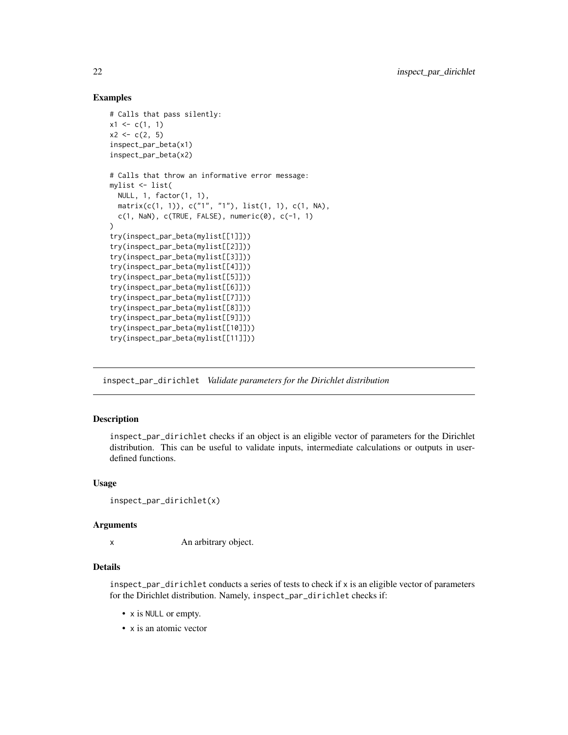# Examples

```
# Calls that pass silently:
x1 \leftarrow c(1, 1)x2 \leq -c(2, 5)inspect_par_beta(x1)
inspect_par_beta(x2)
# Calls that throw an informative error message:
mylist <- list(
  NULL, 1, factor(1, 1),
  matrix(c(1, 1)), c("1", "1"), list(1, 1), c(1, NA),
  c(1, \text{NaN}), c(TRUE, \text{FALSE}), numeric(0), c(-1, 1))
try(inspect_par_beta(mylist[[1]]))
try(inspect_par_beta(mylist[[2]]))
try(inspect_par_beta(mylist[[3]]))
try(inspect_par_beta(mylist[[4]]))
try(inspect_par_beta(mylist[[5]]))
try(inspect_par_beta(mylist[[6]]))
try(inspect_par_beta(mylist[[7]]))
try(inspect_par_beta(mylist[[8]]))
try(inspect_par_beta(mylist[[9]]))
try(inspect_par_beta(mylist[[10]]))
try(inspect_par_beta(mylist[[11]]))
```
<span id="page-21-1"></span>inspect\_par\_dirichlet *Validate parameters for the Dirichlet distribution*

# Description

inspect\_par\_dirichlet checks if an object is an eligible vector of parameters for the Dirichlet distribution. This can be useful to validate inputs, intermediate calculations or outputs in userdefined functions.

# Usage

```
inspect_par_dirichlet(x)
```
#### Arguments

x An arbitrary object.

# Details

inspect\_par\_dirichlet conducts a series of tests to check if x is an eligible vector of parameters for the Dirichlet distribution. Namely, inspect\_par\_dirichlet checks if:

- x is NULL or empty.
- x is an atomic vector

<span id="page-21-0"></span>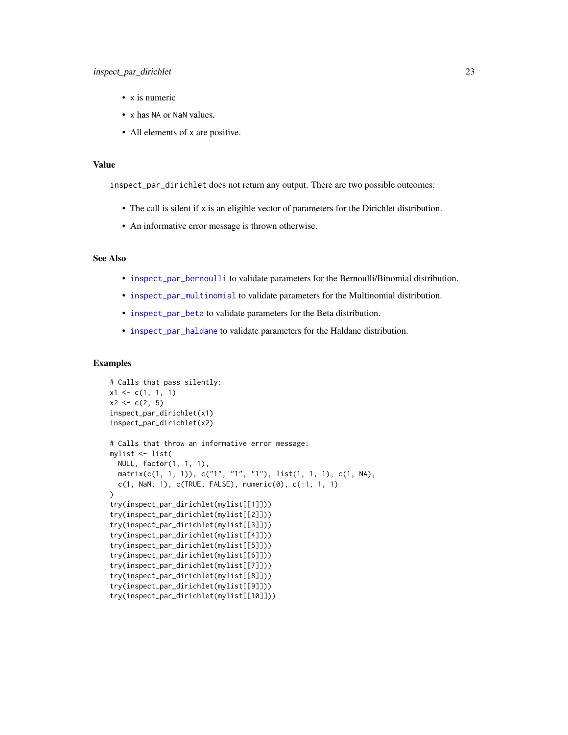- <span id="page-22-0"></span>• x is numeric
- x has NA or NaN values.
- All elements of x are positive.

inspect\_par\_dirichlet does not return any output. There are two possible outcomes:

- The call is silent if x is an eligible vector of parameters for the Dirichlet distribution.
- An informative error message is thrown otherwise.

# See Also

- [inspect\\_par\\_bernoulli](#page-18-1) to validate parameters for the Bernoulli/Binomial distribution.
- [inspect\\_par\\_multinomial](#page-24-1) to validate parameters for the Multinomial distribution.
- [inspect\\_par\\_beta](#page-20-1) to validate parameters for the Beta distribution.
- [inspect\\_par\\_haldane](#page-23-1) to validate parameters for the Haldane distribution.

```
# Calls that pass silently:
x1 \leftarrow c(1, 1, 1)x2 \leq -c(2, 5)inspect_par_dirichlet(x1)
inspect_par_dirichlet(x2)
# Calls that throw an informative error message:
mylist <- list(
 NULL, factor(1, 1, 1),
 matrix(c(1, 1, 1)), c("1", "1", "1"), list(1, 1, 1), c(1, NA),
 c(1, \text{NaN}, 1), c(TRUE, FALSE), numeric(0), c(-1, 1, 1))
try(inspect_par_dirichlet(mylist[[1]]))
try(inspect_par_dirichlet(mylist[[2]]))
try(inspect_par_dirichlet(mylist[[3]]))
try(inspect_par_dirichlet(mylist[[4]]))
try(inspect_par_dirichlet(mylist[[5]]))
try(inspect_par_dirichlet(mylist[[6]]))
try(inspect_par_dirichlet(mylist[[7]]))
try(inspect_par_dirichlet(mylist[[8]]))
try(inspect_par_dirichlet(mylist[[9]]))
try(inspect_par_dirichlet(mylist[[10]]))
```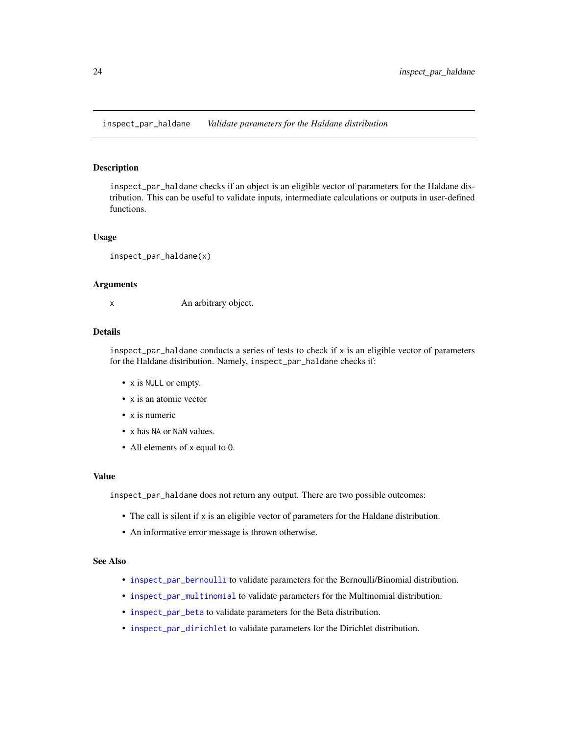<span id="page-23-1"></span><span id="page-23-0"></span>inspect\_par\_haldane *Validate parameters for the Haldane distribution*

# Description

inspect\_par\_haldane checks if an object is an eligible vector of parameters for the Haldane distribution. This can be useful to validate inputs, intermediate calculations or outputs in user-defined functions.

#### Usage

```
inspect_par_haldane(x)
```
#### Arguments

x An arbitrary object.

# Details

inspect\_par\_haldane conducts a series of tests to check if x is an eligible vector of parameters for the Haldane distribution. Namely, inspect\_par\_haldane checks if:

- x is NULL or empty.
- x is an atomic vector
- x is numeric
- x has NA or NaN values.
- All elements of x equal to 0.

# Value

inspect\_par\_haldane does not return any output. There are two possible outcomes:

- The call is silent if x is an eligible vector of parameters for the Haldane distribution.
- An informative error message is thrown otherwise.

#### See Also

- [inspect\\_par\\_bernoulli](#page-18-1) to validate parameters for the Bernoulli/Binomial distribution.
- [inspect\\_par\\_multinomial](#page-24-1) to validate parameters for the Multinomial distribution.
- [inspect\\_par\\_beta](#page-20-1) to validate parameters for the Beta distribution.
- [inspect\\_par\\_dirichlet](#page-21-1) to validate parameters for the Dirichlet distribution.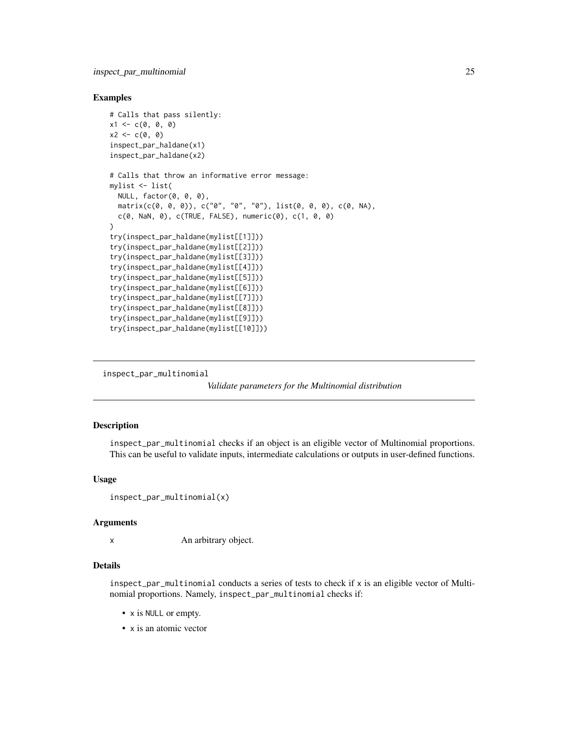# <span id="page-24-0"></span>Examples

```
# Calls that pass silently:
x1 \leftarrow c(0, 0, 0)x2 \leq -c(0, 0)inspect_par_haldane(x1)
inspect_par_haldane(x2)
# Calls that throw an informative error message:
mylist <- list(
  NULL, factor(0, 0, 0),
  matrix(c(0, 0, 0)), c("0", "0", "0"), list(0, 0, 0), c(0, NA),
  c(\emptyset, \text{NaN}, \emptyset), c(\text{TRUE}, \text{ FALSE}), numeric(\emptyset), c(1, \emptyset, \emptyset))
try(inspect_par_haldane(mylist[[1]]))
try(inspect_par_haldane(mylist[[2]]))
try(inspect_par_haldane(mylist[[3]]))
try(inspect_par_haldane(mylist[[4]]))
try(inspect_par_haldane(mylist[[5]]))
try(inspect_par_haldane(mylist[[6]]))
try(inspect_par_haldane(mylist[[7]]))
try(inspect_par_haldane(mylist[[8]]))
try(inspect_par_haldane(mylist[[9]]))
try(inspect_par_haldane(mylist[[10]]))
```
<span id="page-24-1"></span>inspect\_par\_multinomial

*Validate parameters for the Multinomial distribution*

#### Description

inspect\_par\_multinomial checks if an object is an eligible vector of Multinomial proportions. This can be useful to validate inputs, intermediate calculations or outputs in user-defined functions.

# Usage

```
inspect_par_multinomial(x)
```
#### Arguments

x An arbitrary object.

# Details

inspect\_par\_multinomial conducts a series of tests to check if x is an eligible vector of Multinomial proportions. Namely, inspect\_par\_multinomial checks if:

- x is NULL or empty.
- x is an atomic vector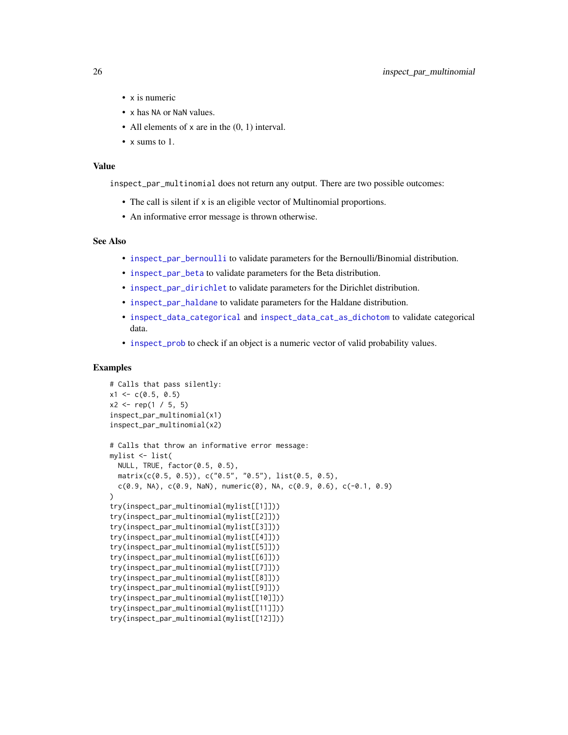- <span id="page-25-0"></span>• x is numeric
- x has NA or NaN values.
- All elements of x are in the  $(0, 1)$  interval.
- x sums to 1.

inspect\_par\_multinomial does not return any output. There are two possible outcomes:

- The call is silent if x is an eligible vector of Multinomial proportions.
- An informative error message is thrown otherwise.

# See Also

- [inspect\\_par\\_bernoulli](#page-18-1) to validate parameters for the Bernoulli/Binomial distribution.
- [inspect\\_par\\_beta](#page-20-1) to validate parameters for the Beta distribution.
- [inspect\\_par\\_dirichlet](#page-21-1) to validate parameters for the Dirichlet distribution.
- [inspect\\_par\\_haldane](#page-23-1) to validate parameters for the Haldane distribution.
- [inspect\\_data\\_categorical](#page-11-1) and [inspect\\_data\\_cat\\_as\\_dichotom](#page-13-1) to validate categorical data.
- [inspect\\_prob](#page-26-1) to check if an object is a numeric vector of valid probability values.

```
# Calls that pass silently:
x1 \leftarrow c(0.5, 0.5)x2 \le - rep(1 / 5, 5)
inspect_par_multinomial(x1)
inspect_par_multinomial(x2)
# Calls that throw an informative error message:
mylist <- list(
 NULL, TRUE, factor(0.5, 0.5),
 matrix(c(0.5, 0.5)), c("0.5", "0.5"), list(0.5, 0.5),
 c(0.9, NA), c(0.9, NaN), numeric(0), NA, c(0.9, 0.6), c(-0.1, 0.9))
try(inspect_par_multinomial(mylist[[1]]))
try(inspect_par_multinomial(mylist[[2]]))
try(inspect_par_multinomial(mylist[[3]]))
try(inspect_par_multinomial(mylist[[4]]))
try(inspect_par_multinomial(mylist[[5]]))
try(inspect_par_multinomial(mylist[[6]]))
try(inspect_par_multinomial(mylist[[7]]))
try(inspect_par_multinomial(mylist[[8]]))
try(inspect_par_multinomial(mylist[[9]]))
try(inspect_par_multinomial(mylist[[10]]))
try(inspect_par_multinomial(mylist[[11]]))
try(inspect_par_multinomial(mylist[[12]]))
```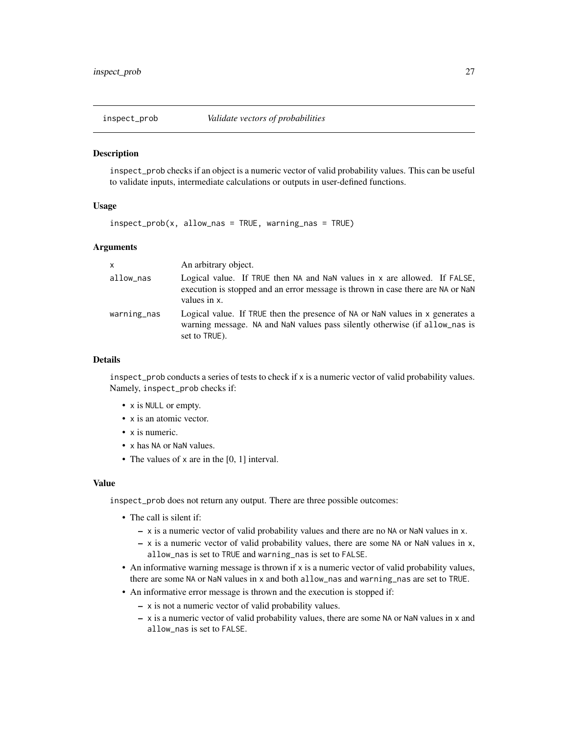<span id="page-26-1"></span><span id="page-26-0"></span>

# **Description**

inspect\_prob checks if an object is a numeric vector of valid probability values. This can be useful to validate inputs, intermediate calculations or outputs in user-defined functions.

#### Usage

inspect\_prob(x, allow\_nas = TRUE, warning\_nas = TRUE)

#### Arguments

| $\mathsf{x}$ | An arbitrary object.                                                                                                                                                           |
|--------------|--------------------------------------------------------------------------------------------------------------------------------------------------------------------------------|
| allow_nas    | Logical value. If TRUE then NA and NaN values in $x$ are allowed. If FALSE,<br>execution is stopped and an error message is thrown in case there are NA or NaN<br>values in x. |
| warning_nas  | Logical value. If TRUE then the presence of NA or NaN values in x generates a<br>warning message. NA and NaN values pass silently otherwise (if allow_nas is<br>set to TRUE).  |

# Details

inspect\_prob conducts a series of tests to check if x is a numeric vector of valid probability values. Namely, inspect\_prob checks if:

- x is NULL or empty.
- x is an atomic vector.
- x is numeric.
- x has NA or NaN values.
- The values of x are in the [0, 1] interval.

#### Value

inspect\_prob does not return any output. There are three possible outcomes:

- The call is silent if:
	- $x$  is a numeric vector of valid probability values and there are no NA or NaN values in x.
	- $x$  is a numeric vector of valid probability values, there are some NA or NaN values in x, allow\_nas is set to TRUE and warning\_nas is set to FALSE.
- An informative warning message is thrown if x is a numeric vector of valid probability values, there are some NA or NaN values in x and both allow\_nas and warning\_nas are set to TRUE.
- An informative error message is thrown and the execution is stopped if:
	- x is not a numeric vector of valid probability values.
	- x is a numeric vector of valid probability values, there are some NA or NaN values in x and allow\_nas is set to FALSE.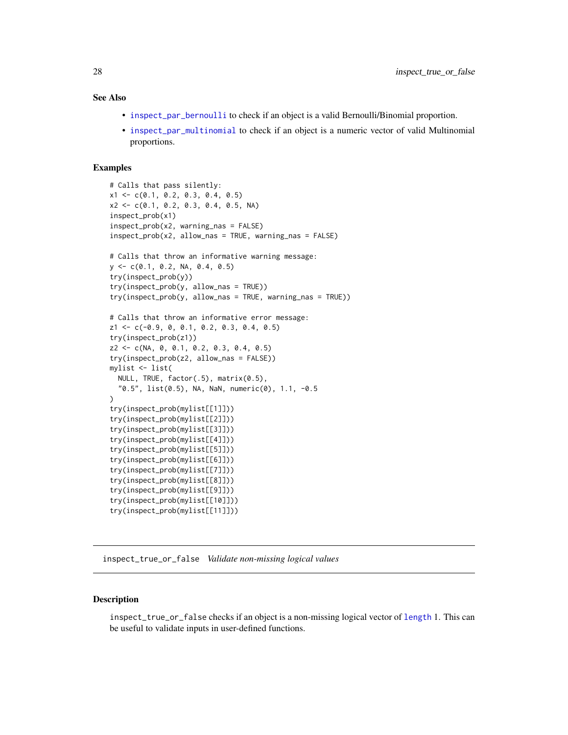# <span id="page-27-0"></span>See Also

- [inspect\\_par\\_bernoulli](#page-18-1) to check if an object is a valid Bernoulli/Binomial proportion.
- [inspect\\_par\\_multinomial](#page-24-1) to check if an object is a numeric vector of valid Multinomial proportions.

# Examples

```
# Calls that pass silently:
x1 \leftarrow c(0.1, 0.2, 0.3, 0.4, 0.5)x2 \leq -c(0.1, 0.2, 0.3, 0.4, 0.5, NA)inspect_prob(x1)
inspect_prob(x2, warning_nas = FALSE)
inspect_prob(x2, allow_nas = TRUE, warning_nas = FALSE)
# Calls that throw an informative warning message:
y \leq c(0.1, 0.2, NA, 0.4, 0.5)try(inspect_prob(y))
try(inspect_prob(y, allow_nas = TRUE))
try(inspect_prob(y, allow_nas = TRUE, warning_nas = TRUE))
# Calls that throw an informative error message:
z1 \leftarrow c(-0.9, 0, 0.1, 0.2, 0.3, 0.4, 0.5)try(inspect_prob(z1))
z2 <- c(NA, 0, 0.1, 0.2, 0.3, 0.4, 0.5)
try(inspect_prob(z2, allow_nas = FALSE))
mylist <- list(
  NULL, TRUE, factor(.5), matrix(0.5),
  "0.5", list(0.5), NA, NaN, numeric(0), 1.1, -0.5
)
try(inspect_prob(mylist[[1]]))
try(inspect_prob(mylist[[2]]))
try(inspect_prob(mylist[[3]]))
try(inspect_prob(mylist[[4]]))
try(inspect_prob(mylist[[5]]))
try(inspect_prob(mylist[[6]]))
try(inspect_prob(mylist[[7]]))
try(inspect_prob(mylist[[8]]))
try(inspect_prob(mylist[[9]]))
try(inspect_prob(mylist[[10]]))
try(inspect_prob(mylist[[11]]))
```
<span id="page-27-1"></span>inspect\_true\_or\_false *Validate non-missing logical values*

#### Description

inspect\_true\_or\_false checks if an object is a non-missing logical vector of [length](#page-0-0) 1. This can be useful to validate inputs in user-defined functions.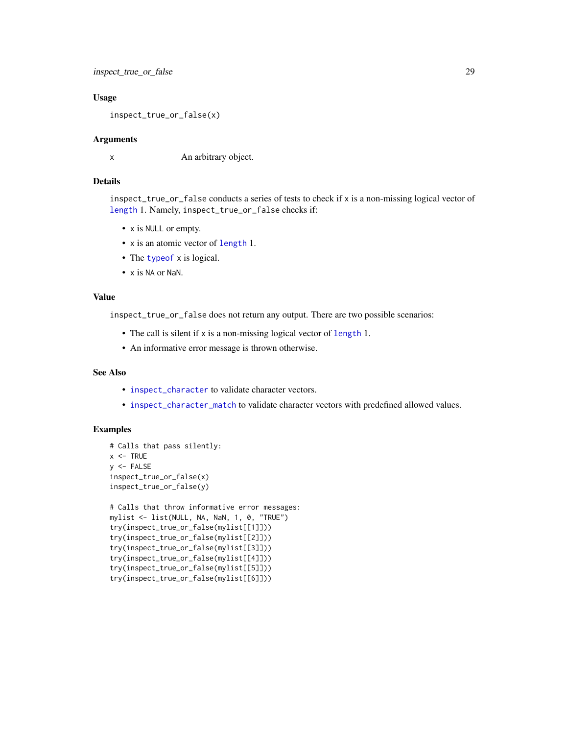```
inspect_true_or_false 29
```
# Usage

inspect\_true\_or\_false(x)

#### Arguments

x An arbitrary object.

# Details

inspect\_true\_or\_false conducts a series of tests to check if x is a non-missing logical vector of [length](#page-0-0) 1. Namely, inspect\_true\_or\_false checks if:

- x is NULL or empty.
- x is an atomic vector of [length](#page-0-0) 1.
- The [typeof](#page-0-0) x is logical.
- x is NA or NaN.

# Value

inspect\_true\_or\_false does not return any output. There are two possible scenarios:

- The call is silent if x is a non-missing logical vector of [length](#page-0-0) 1.
- An informative error message is thrown otherwise.

# See Also

- [inspect\\_character](#page-8-1) to validate character vectors.
- [inspect\\_character\\_match](#page-9-1) to validate character vectors with predefined allowed values.

```
# Calls that pass silently:
x < - TRUE
y <- FALSE
inspect_true_or_false(x)
inspect_true_or_false(y)
# Calls that throw informative error messages:
mylist <- list(NULL, NA, NaN, 1, 0, "TRUE")
try(inspect_true_or_false(mylist[[1]]))
try(inspect_true_or_false(mylist[[2]]))
try(inspect_true_or_false(mylist[[3]]))
try(inspect_true_or_false(mylist[[4]]))
try(inspect_true_or_false(mylist[[5]]))
try(inspect_true_or_false(mylist[[6]]))
```